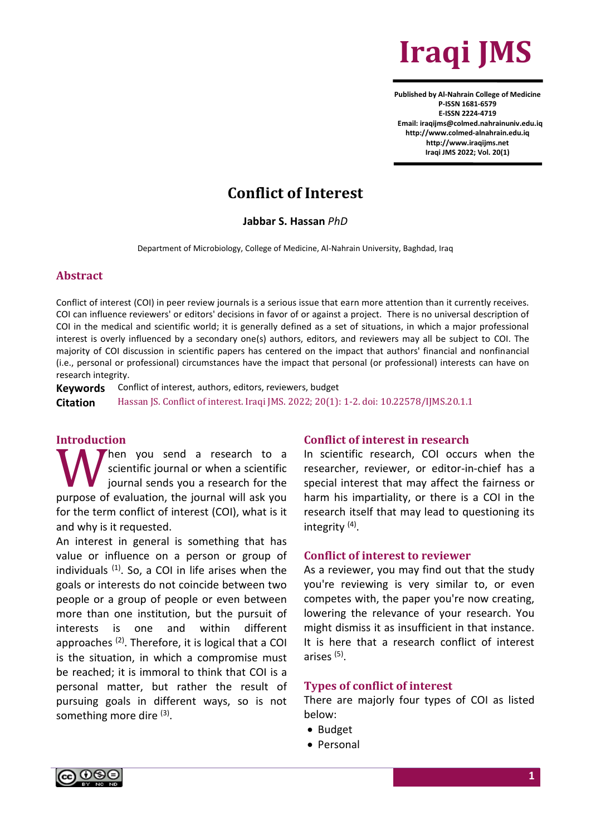

**Published by Al-Nahrain College of Medicine P-ISSN 1681-6579 E-ISSN 2224-4719 Email: iraqijms@colmed.nahrainuniv.edu.iq http://www.colmed-alnahrain.edu.iq [http://www.iraqijms.net](http://www.iraqijms.net/) Iraqi JMS 2022; Vol. 20(1)**

# **Conflict of Interest**

**Jabbar S. Hassan** *PhD*

Department of Microbiology, College of Medicine, Al-Nahrain University, Baghdad, Iraq

### **Abstract**

Conflict of interest (COI) in peer review journals is a serious issue that earn more attention than it currently receives. COI can influence reviewers' or editors' decisions in favor of or against a project. There is no universal description of COI in the medical and scientific world; it is generally defined as a set of situations, in which a major professional interest is overly influenced by a secondary one(s) authors, editors, and reviewers may all be subject to COI. The majority of COI discussion in scientific papers has centered on the impact that authors' financial and nonfinancial (i.e., personal or professional) circumstances have the impact that personal (or professional) interests can have on research integrity.

**Keywords** Conflict of interest, authors, editors, reviewers, budget **Citation** Hassan JS. Conflict of interest. Iraqi JMS. 2022; 20(1): 1-2. doi: 10.22578/IJMS.20.1.1

## **Introduction**

hen you send a research to a scientific journal or when a scientific journal sends you a research for the purpose of evaluation, the journal will ask you for the term conflict of interest (COI), what is it and why is it requested. W<sub>wrece of</sub>

An interest in general is something that has value or influence on a person or group of individuals  $(1)$ . So, a COI in life arises when the goals or interests do not coincide between two people or a group of people or even between more than one institution, but the pursuit of interests is one and within different approaches (2). Therefore, it is logical that a COI is the situation, in which a compromise must be reached; it is immoral to think that COI is a personal matter, but rather the result of pursuing goals in different ways, so is not something more dire (3).

## **Conflict of interest in research**

In scientific research, COI occurs when the researcher, reviewer, or editor-in-chief has a special interest that may affect the fairness or harm his impartiality, or there is a COI in the research itself that may lead to questioning its integrity<sup>(4)</sup>.

#### **Conflict of interest to reviewer**

As a reviewer, you may find out that the study you're reviewing is very similar to, or even competes with, the paper you're now creating, lowering the relevance of your research. You might dismiss it as insufficient in that instance. It is here that a research conflict of interest arises (5) .

#### **Types of conflict of interest**

There are majorly four types of COI as listed below:

- Budget
- Personal